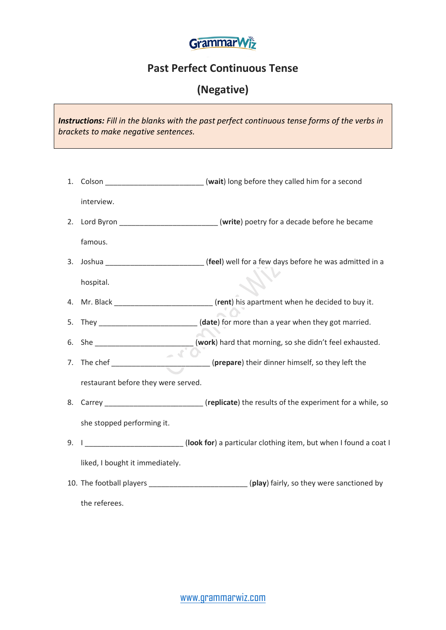

## **Past Perfect Continuous Tense**

## **(Negative)**

*Instructions: Fill in the blanks with the past perfect continuous tense forms of the verbs in brackets to make negative sentences.*

1. Colson \_\_\_\_\_\_\_\_\_\_\_\_\_\_\_\_\_\_\_\_\_\_\_\_ (**wait**) long before they called him for a second interview. 2. Lord Byron \_\_\_\_\_\_\_\_\_\_\_\_\_\_\_\_\_\_\_\_\_\_\_\_ (**write**) poetry for a decade before he became famous. 3. Joshua \_\_\_\_\_\_\_\_\_\_\_\_\_\_\_\_\_\_\_\_\_\_\_\_ (**feel**) well for a few days before he was admitted in a hospital. 4. Mr. Black \_\_\_\_\_\_\_\_\_\_\_\_\_\_\_\_\_\_\_\_\_\_\_\_ (**rent**) his apartment when he decided to buy it. 5. They \_\_\_\_\_\_\_\_\_\_\_\_\_\_\_\_\_\_\_\_\_\_\_\_ (**date**) for more than a year when they got married. 6. She \_\_\_\_\_\_\_\_\_\_\_\_\_\_\_\_\_\_\_\_\_\_\_\_ (**work**) hard that morning, so she didn't feel exhausted. 7. The chef \_\_\_\_\_\_\_\_\_\_\_\_\_\_\_\_\_\_\_\_\_\_\_\_ (**prepare**) their dinner himself, so they left the restaurant before they were served. 8. Carrey **Exercise 2. Carrey** (**replicate**) the results of the experiment for a while, so she stopped performing it. 9. I \_\_\_\_\_\_\_\_\_\_\_\_\_\_\_\_\_\_\_\_\_\_\_\_ (**look for**) a particular clothing item, but when I found a coat I liked, I bought it immediately. 10. The football players \_\_\_\_\_\_\_\_\_\_\_\_\_\_\_\_\_\_\_\_\_\_\_\_ (**play**) fairly, so they were sanctioned by the referees.